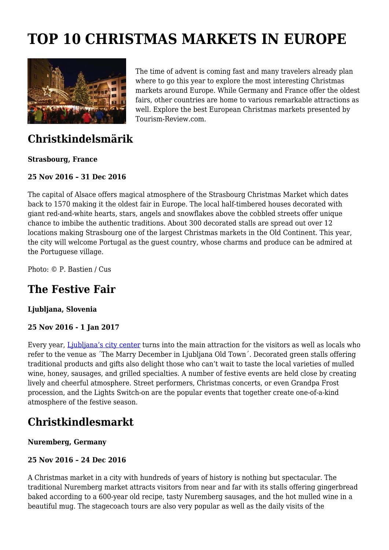# **TOP 10 CHRISTMAS MARKETS IN EUROPE**



The time of advent is coming fast and many travelers already plan where to go this year to explore the most interesting Christmas markets around Europe. While Germany and France offer the oldest fairs, other countries are home to various remarkable attractions as well. Explore the best European Christmas markets presented by Tourism-Review.com.

### **Christkindelsmärik**

#### **Strasbourg, France**

#### **25 Nov 2016 – 31 Dec 2016**

The capital of Alsace offers magical atmosphere of the Strasbourg Christmas Market which dates back to 1570 making it the oldest fair in Europe. The local half-timbered houses decorated with giant red-and-white hearts, stars, angels and snowflakes above the cobbled streets offer unique chance to imbibe the authentic traditions. About 300 decorated stalls are spread out over 12 locations making Strasbourg one of the largest Christmas markets in the Old Continent. This year, the city will welcome Portugal as the guest country, whose charms and produce can be admired at the Portuguese village.

Photo: © P. Bastien / Cus

# **The Festive Fair**

#### **Ljubljana, Slovenia**

#### **25 Nov 2016 - 1 Jan 2017**

Every year, [Ljubljana's city center](http://www.slovenia.info/) turns into the main attraction for the visitors as well as locals who refer to the venue as ´The Marry December in Ljubljana Old Town´. Decorated green stalls offering traditional products and gifts also delight those who can't wait to taste the local varieties of mulled wine, honey, sausages, and grilled specialties. A number of festive events are held close by creating lively and cheerful atmosphere. Street performers, Christmas concerts, or even Grandpa Frost procession, and the Lights Switch-on are the popular events that together create one-of-a-kind atmosphere of the festive season.

### **Christkindlesmarkt**

#### **Nuremberg, Germany**

#### **25 Nov 2016 – 24 Dec 2016**

A Christmas market in a city with hundreds of years of history is nothing but spectacular. The traditional Nuremberg market attracts visitors from near and far with its stalls offering gingerbread baked according to a 600-year old recipe, tasty Nuremberg sausages, and the hot mulled wine in a beautiful mug. The stagecoach tours are also very popular as well as the daily visits of the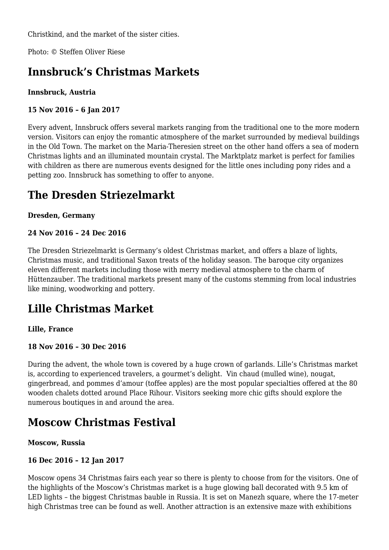Christkind, and the market of the sister cities.

Photo: © Steffen Oliver Riese

# **Innsbruck's Christmas Markets**

#### **Innsbruck, Austria**

#### **15 Nov 2016 – 6 Jan 2017**

Every advent, Innsbruck offers several markets ranging from the traditional one to the more modern version. Visitors can enjoy the romantic atmosphere of the market surrounded by medieval buildings in the Old Town. The market on the Maria-Theresien street on the other hand offers a sea of modern Christmas lights and an illuminated mountain crystal. The Marktplatz market is perfect for families with children as there are numerous events designed for the little ones including pony rides and a petting zoo. Innsbruck has something to offer to anyone.

# **The Dresden Striezelmarkt**

#### **Dresden, Germany**

#### **24 Nov 2016 – 24 Dec 2016**

The Dresden Striezelmarkt is Germany's oldest Christmas market, and offers a blaze of lights, Christmas music, and traditional Saxon treats of the holiday season. The baroque city organizes eleven different markets including those with merry medieval atmosphere to the charm of Hüttenzauber. The traditional markets present many of the customs stemming from local industries like mining, woodworking and pottery.

### **Lille Christmas Market**

#### **Lille, France**

#### **18 Nov 2016 – 30 Dec 2016**

During the advent, the whole town is covered by a huge crown of garlands. Lille's Christmas market is, according to experienced travelers, a gourmet's delight. Vin chaud (mulled wine), nougat, gingerbread, and pommes d'amour (toffee apples) are the most popular specialties offered at the 80 wooden chalets dotted around Place Rihour. Visitors seeking more chic gifts should explore the numerous boutiques in and around the area.

### **Moscow Christmas Festival**

#### **Moscow, Russia**

#### **16 Dec 2016 – 12 Jan 2017**

Moscow opens 34 Christmas fairs each year so there is plenty to choose from for the visitors. One of the highlights of the Moscow's Christmas market is a huge glowing ball decorated with 9.5 km of LED lights – the biggest Christmas bauble in Russia. It is set on Manezh square, where the 17-meter high Christmas tree can be found as well. Another attraction is an extensive maze with exhibitions